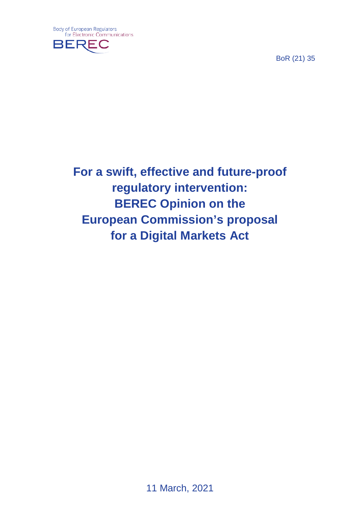

BoR (21) 35

**For a swift, effective and future-proof regulatory intervention: BEREC Opinion on the European Commission's proposal for a Digital Markets Act**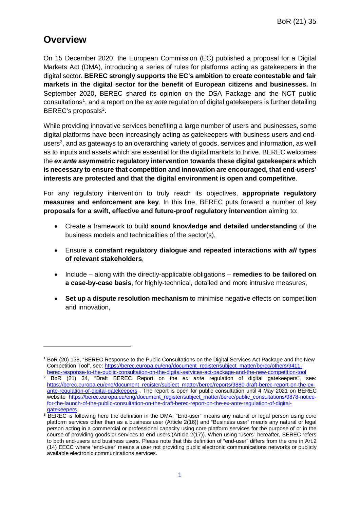## **Overview**

-

On 15 December 2020, the European Commission (EC) published a proposal for a Digital Markets Act (DMA), introducing a series of rules for platforms acting as gatekeepers in the digital sector. **BEREC strongly supports the EC's ambition to create contestable and fair markets in the digital sector for the benefit of European citizens and businesses.** In September 2020, BEREC shared its opinion on the DSA Package and the NCT public consultations<sup>[1](#page-1-0)</sup>, and a report on the ex ante regulation of digital gatekeepers is further detailing BEREC's proposals<sup>[2](#page-1-1)</sup>.

While providing innovative services benefiting a large number of users and businesses, some digital platforms have been increasingly acting as gatekeepers with business users and endusers<sup>3</sup>, and as gateways to an overarching variety of goods, services and information, as well as to inputs and assets which are essential for the digital markets to thrive. BEREC welcomes the *ex ante* **asymmetric regulatory intervention towards these digital gatekeepers which is necessary to ensure that competition and innovation are encouraged, that end-users' interests are protected and that the digital environment is open and competitive**.

For any regulatory intervention to truly reach its objectives, **appropriate regulatory measures and enforcement are key**. In this line, BEREC puts forward a number of key **proposals for a swift, effective and future-proof regulatory intervention** aiming to:

- Create a framework to build **sound knowledge and detailed understanding** of the business models and technicalities of the sector(s),
- Ensure a **constant regulatory dialogue and repeated interactions with** *all* **types of relevant stakeholders**,
- Include along with the directly-applicable obligations **remedies to be tailored on a case-by-case basis**, for highly-technical, detailed and more intrusive measures,
- **Set up a dispute resolution mechanism** to minimise negative effects on competition and innovation,

<span id="page-1-0"></span><sup>1</sup> BoR (20) 138, "BEREC Response to the Public Consultations on the Digital Services Act Package and the New Competition Tool", see: [https://berec.europa.eu/eng/document\\_register/subject\\_matter/berec/others/9411](https://berec.europa.eu/eng/document_register/subject_matter/berec/others/9411-berec-response-to-the-public-consultation-on-the-digital-services-act-package-and-the-new-competition-tool) [berec-response-to-the-public-consultation-on-the-digital-services-act-package-and-the-new-competition-tool](https://berec.europa.eu/eng/document_register/subject_matter/berec/others/9411-berec-response-to-the-public-consultation-on-the-digital-services-act-package-and-the-new-competition-tool)

<span id="page-1-1"></span><sup>&</sup>lt;sup>2</sup> BoR (21) 34, "Draft BEREC Report on the *ex ante* regulation of digital gatekeepers", see: [https://berec.europa.eu/eng/document\\_register/subject\\_matter/berec/reports/9880-draft-berec-report-on-the-ex](https://berec.europa.eu/eng/document_register/subject_matter/berec/reports/9880-draft-berec-report-on-the-ex-ante-regulation-of-digital-gatekeepers)[ante-regulation-of-digital-gatekeepers](https://berec.europa.eu/eng/document_register/subject_matter/berec/reports/9880-draft-berec-report-on-the-ex-ante-regulation-of-digital-gatekeepers) . The report is open for public consultation until 4 May 2021 on BEREC website [https://berec.europa.eu/eng/document\\_register/subject\\_matter/berec/public\\_consultations/9878-notice](https://berec.europa.eu/eng/document_register/subject_matter/berec/public_consultations/9878-notice-for-the-launch-of-the-public-consultation-on-the-draft-berec-report-on-the-ex-ante-regulation-of-digital-gatekeepers)[for-the-launch-of-the-public-consultation-on-the-draft-berec-report-on-the-ex-ante-regulation-of-digital](https://berec.europa.eu/eng/document_register/subject_matter/berec/public_consultations/9878-notice-for-the-launch-of-the-public-consultation-on-the-draft-berec-report-on-the-ex-ante-regulation-of-digital-gatekeepers)[gatekeepers](https://berec.europa.eu/eng/document_register/subject_matter/berec/public_consultations/9878-notice-for-the-launch-of-the-public-consultation-on-the-draft-berec-report-on-the-ex-ante-regulation-of-digital-gatekeepers)

<span id="page-1-2"></span><sup>&</sup>lt;sup>3</sup> BEREC is following here the definition in the DMA. "End-user" means any natural or legal person using core platform services other than as a business user (Article 2(16)) and "Business user" means any natural or legal person acting in a commercial or professional capacity using core platform services for the purpose of or in the course of providing goods or services to end users (Article 2(17)). When using "users" hereafter, BEREC refers to both end-users and business users. Please note that this definition of "end-user" differs from the one in Art.2 (14) EECC where "end-user' means a user not providing public electronic communications networks or publicly available electronic communications services.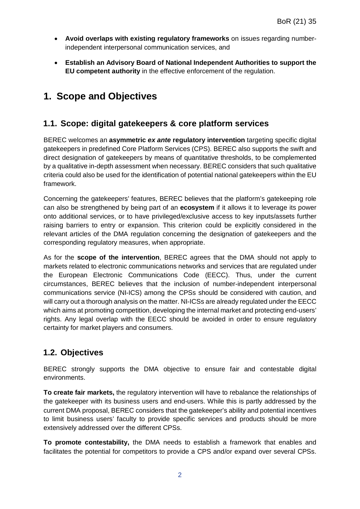- **Avoid overlaps with existing regulatory frameworks** on issues regarding numberindependent interpersonal communication services, and
- **Establish an Advisory Board of National Independent Authorities to support the EU competent authority** in the effective enforcement of the regulation.

# **1. Scope and Objectives**

#### **1.1. Scope: digital gatekeepers & core platform services**

BEREC welcomes an **asymmetric** *ex ante* **regulatory intervention** targeting specific digital gatekeepers in predefined Core Platform Services (CPS). BEREC also supports the swift and direct designation of gatekeepers by means of quantitative thresholds, to be complemented by a qualitative in-depth assessment when necessary. BEREC considers that such qualitative criteria could also be used for the identification of potential national gatekeepers within the EU framework.

Concerning the gatekeepers' features, BEREC believes that the platform's gatekeeping role can also be strengthened by being part of an **ecosystem** if it allows it to leverage its power onto additional services, or to have privileged/exclusive access to key inputs/assets further raising barriers to entry or expansion. This criterion could be explicitly considered in the relevant articles of the DMA regulation concerning the designation of gatekeepers and the corresponding regulatory measures, when appropriate.

As for the **scope of the intervention**, BEREC agrees that the DMA should not apply to markets related to electronic communications networks and services that are regulated under the European Electronic Communications Code (EECC). Thus, under the current circumstances, BEREC believes that the inclusion of number-independent interpersonal communications service (NI-ICS) among the CPSs should be considered with caution, and will carry out a thorough analysis on the matter. NI-ICSs are already regulated under the EECC which aims at promoting competition, developing the internal market and protecting end-users' rights. Any legal overlap with the EECC should be avoided in order to ensure regulatory certainty for market players and consumers.

### **1.2. Objectives**

BEREC strongly supports the DMA objective to ensure fair and contestable digital environments.

**To create fair markets,** the regulatory intervention will have to rebalance the relationships of the gatekeeper with its business users and end-users. While this is partly addressed by the current DMA proposal, BEREC considers that the gatekeeper's ability and potential incentives to limit business users' faculty to provide specific services and products should be more extensively addressed over the different CPSs.

**To promote contestability,** the DMA needs to establish a framework that enables and facilitates the potential for competitors to provide a CPS and/or expand over several CPSs.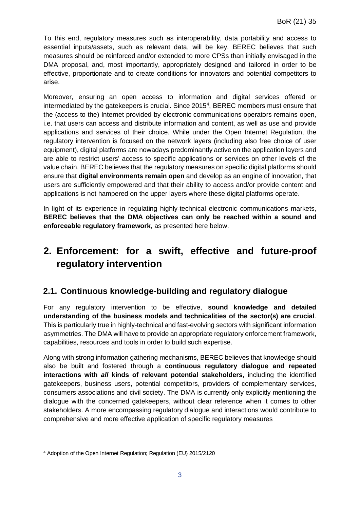To this end, regulatory measures such as interoperability, data portability and access to essential inputs/assets, such as relevant data, will be key. BEREC believes that such measures should be reinforced and/or extended to more CPSs than initially envisaged in the DMA proposal, and, most importantly, appropriately designed and tailored in order to be effective, proportionate and to create conditions for innovators and potential competitors to arise.

Moreover, ensuring an open access to information and digital services offered or intermediated by the gatekeepers is crucial. Since 2015<sup>[4](#page-3-0)</sup>, BEREC members must ensure that the (access to the) Internet provided by electronic communications operators remains open, i.e. that users can access and distribute information and content, as well as use and provide applications and services of their choice. While under the Open Internet Regulation, the regulatory intervention is focused on the network layers (including also free choice of user equipment), digital platforms are nowadays predominantly active on the application layers and are able to restrict users' access to specific applications or services on other levels of the value chain. BEREC believes that the regulatory measures on specific digital platforms should ensure that **digital environments remain open** and develop as an engine of innovation, that users are sufficiently empowered and that their ability to access and/or provide content and applications is not hampered on the upper layers where these digital platforms operate.

In light of its experience in regulating highly-technical electronic communications markets, **BEREC believes that the DMA objectives can only be reached within a sound and enforceable regulatory framework**, as presented here below.

# **2. Enforcement: for a swift, effective and future-proof regulatory intervention**

#### **2.1. Continuous knowledge-building and regulatory dialogue**

For any regulatory intervention to be effective, **sound knowledge and detailed understanding of the business models and technicalities of the sector(s) are crucial**. This is particularly true in highly-technical and fast-evolving sectors with significant information asymmetries. The DMA will have to provide an appropriate regulatory enforcement framework, capabilities, resources and tools in order to build such expertise.

Along with strong information gathering mechanisms, BEREC believes that knowledge should also be built and fostered through a **continuous regulatory dialogue and repeated interactions with** *all* **kinds of relevant potential stakeholders**, including the identified gatekeepers, business users, potential competitors, providers of complementary services, consumers associations and civil society. The DMA is currently only explicitly mentioning the dialogue with the concerned gatekeepers, without clear reference when it comes to other stakeholders. A more encompassing regulatory dialogue and interactions would contribute to comprehensive and more effective application of specific regulatory measures

-

<span id="page-3-0"></span><sup>4</sup> Adoption of the Open Internet Regulation; Regulation (EU) 2015/2120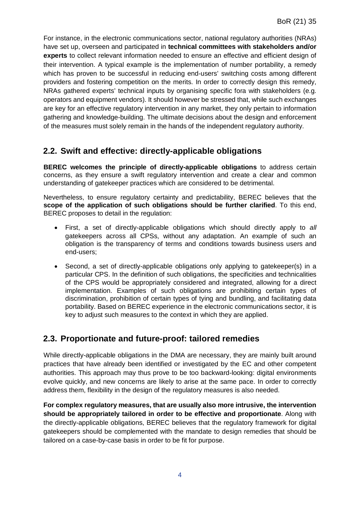For instance, in the electronic communications sector, national regulatory authorities (NRAs) have set up, overseen and participated in **technical committees with stakeholders and/or experts** to collect relevant information needed to ensure an effective and efficient design of their intervention. A typical example is the implementation of number portability, a remedy which has proven to be successful in reducing end-users' switching costs among different providers and fostering competition on the merits. In order to correctly design this remedy, NRAs gathered experts' technical inputs by organising specific fora with stakeholders (e.g. operators and equipment vendors). It should however be stressed that, while such exchanges are key for an effective regulatory intervention in any market, they only pertain to information gathering and knowledge-building. The ultimate decisions about the design and enforcement of the measures must solely remain in the hands of the independent regulatory authority.

#### **2.2. Swift and effective: directly-applicable obligations**

**BEREC welcomes the principle of directly-applicable obligations** to address certain concerns, as they ensure a swift regulatory intervention and create a clear and common understanding of gatekeeper practices which are considered to be detrimental.

Nevertheless, to ensure regulatory certainty and predictability, BEREC believes that the **scope of the application of such obligations should be further clarified**. To this end, BEREC proposes to detail in the regulation:

- First, a set of directly-applicable obligations which should directly apply to *all* gatekeepers across all CPSs, without any adaptation. An example of such an obligation is the transparency of terms and conditions towards business users and end-users;
- Second, a set of directly-applicable obligations only applying to gatekeeper(s) in a particular CPS. In the definition of such obligations, the specificities and technicalities of the CPS would be appropriately considered and integrated, allowing for a direct implementation. Examples of such obligations are prohibiting certain types of discrimination, prohibition of certain types of tying and bundling, and facilitating data portability. Based on BEREC experience in the electronic communications sector, it is key to adjust such measures to the context in which they are applied.

### **2.3. Proportionate and future-proof: tailored remedies**

While directly-applicable obligations in the DMA are necessary, they are mainly built around practices that have already been identified or investigated by the EC and other competent authorities. This approach may thus prove to be too backward-looking: digital environments evolve quickly, and new concerns are likely to arise at the same pace. In order to correctly address them, flexibility in the design of the regulatory measures is also needed.

**For complex regulatory measures, that are usually also more intrusive, the intervention should be appropriately tailored in order to be effective and proportionate**. Along with the directly-applicable obligations, BEREC believes that the regulatory framework for digital gatekeepers should be complemented with the mandate to design remedies that should be tailored on a case-by-case basis in order to be fit for purpose.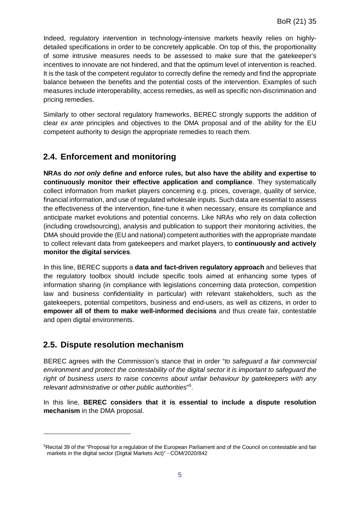Indeed, regulatory intervention in technology-intensive markets heavily relies on highlydetailed specifications in order to be concretely applicable. On top of this, the proportionality of some intrusive measures needs to be assessed to make sure that the gatekeeper's incentives to innovate are not hindered, and that the optimum level of intervention is reached. It is the task of the competent regulator to correctly define the remedy and find the appropriate balance between the benefits and the potential costs of the intervention. Examples of such measures include interoperability, access remedies, as well as specific non-discrimination and pricing remedies.

Similarly to other sectoral regulatory frameworks, BEREC strongly supports the addition of clear *ex ante* principles and objectives to the DMA proposal and of the ability for the EU competent authority to design the appropriate remedies to reach them.

#### **2.4. Enforcement and monitoring**

**NRAs do** *not only* **define and enforce rules, but also have the ability and expertise to continuously monitor their effective application and compliance**. They systematically collect information from market players concerning e.g. prices, coverage, quality of service, financial information, and use of regulated wholesale inputs. Such data are essential to assess the effectiveness of the intervention, fine-tune it when necessary, ensure its compliance and anticipate market evolutions and potential concerns. Like NRAs who rely on data collection (including crowdsourcing), analysis and publication to support their monitoring activities, the DMA should provide the (EU and national) competent authorities with the appropriate mandate to collect relevant data from gatekeepers and market players, to **continuously and actively monitor the digital services**.

In this line, BEREC supports a **data and fact-driven regulatory approach** and believes that the regulatory toolbox should include specific tools aimed at enhancing some types of information sharing (in compliance with legislations concerning data protection, competition law and business confidentiality in particular) with relevant stakeholders, such as the gatekeepers, potential competitors, business and end-users, as well as citizens, in order to **empower all of them to make well-informed decisions** and thus create fair, contestable and open digital environments.

#### **2.5. Dispute resolution mechanism**

-

BEREC agrees with the Commission's stance that in order "*to safeguard a fair commercial environment and protect the contestability of the digital sector it is important to safeguard the right of business users to raise concerns about unfair behaviour by gatekeepers with any relevant administrative or other public authorities*" [5](#page-5-0) .

In this line, **BEREC considers that it is essential to include a dispute resolution mechanism** in the DMA proposal.

<span id="page-5-0"></span><sup>5</sup>Recital 39 of the "Proposal for a regulation of the European Parliament and of the Council on contestable and fair markets in the digital sector (Digital Markets Act)" - COM/2020/842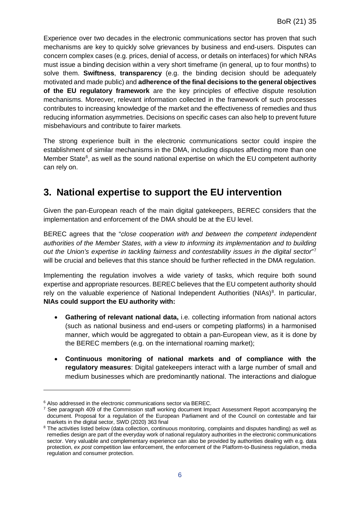Experience over two decades in the electronic communications sector has proven that such mechanisms are key to quickly solve grievances by business and end-users. Disputes can concern complex cases (e.g. prices, denial of access, or details on interfaces) for which NRAs must issue a binding decision within a very short timeframe (in general, up to four months) to solve them. **Swiftness**, **transparency** (e.g. the binding decision should be adequately motivated and made public) and **adherence of the final decisions to the general objectives of the EU regulatory framework** are the key principles of effective dispute resolution mechanisms. Moreover, relevant information collected in the framework of such processes contributes to increasing knowledge of the market and the effectiveness of remedies and thus reducing information asymmetries. Decisions on specific cases can also help to prevent future misbehaviours and contribute to fairer markets.

The strong experience built in the electronic communications sector could inspire the establishment of similar mechanisms in the DMA, including disputes affecting more than one Member State $6$ , as well as the sound national expertise on which the EU competent authority can rely on.

## **3. National expertise to support the EU intervention**

Given the pan-European reach of the main digital gatekeepers, BEREC considers that the implementation and enforcement of the DMA should be at the EU level.

BEREC agrees that the "*close cooperation with and between the competent independent authorities of the Member States, with a view to informing its implementation and to building out the Union's expertise in tackling fairness and contestability issues in the digital sector*" [7](#page-6-1) will be crucial and believes that this stance should be further reflected in the DMA regulation.

Implementing the regulation involves a wide variety of tasks, which require both sound expertise and appropriate resources. BEREC believes that the EU competent authority should rely on the valuable experience of National Independent Authorities (NIAs)<sup>[8](#page-6-2)</sup>. In particular, **NIAs could support the EU authority with:**

- **Gathering of relevant national data,** i.e. collecting information from national actors (such as national business and end-users or competing platforms) in a harmonised manner, which would be aggregated to obtain a pan-European view, as it is done by the BEREC members (e.g. on the international roaming market);
- **Continuous monitoring of national markets and of compliance with the regulatory measures**: Digital gatekeepers interact with a large number of small and medium businesses which are predominantly national. The interactions and dialogue

-

<span id="page-6-0"></span><sup>&</sup>lt;sup>6</sup> Also addressed in the electronic communications sector via BEREC.

<span id="page-6-1"></span> $7$  See paragraph 409 of the Commission staff working document Impact Assessment Report accompanying the document. Proposal for a regulation of the European Parliament and of the Council on contestable and fair markets in the digital sector, SWD (2020) 363 final

<span id="page-6-2"></span><sup>&</sup>lt;sup>8</sup> The activities listed below (data collection, continuous monitoring, complaints and disputes handling) as well as remedies design are part of the everyday work of national regulatory authorities in the electronic communications sector. Very valuable and complementary experience can also be provided by authorities dealing with e.g. data protection, *ex post* competition law enforcement, the enforcement of the Platform-to-Business regulation, media regulation and consumer protection.